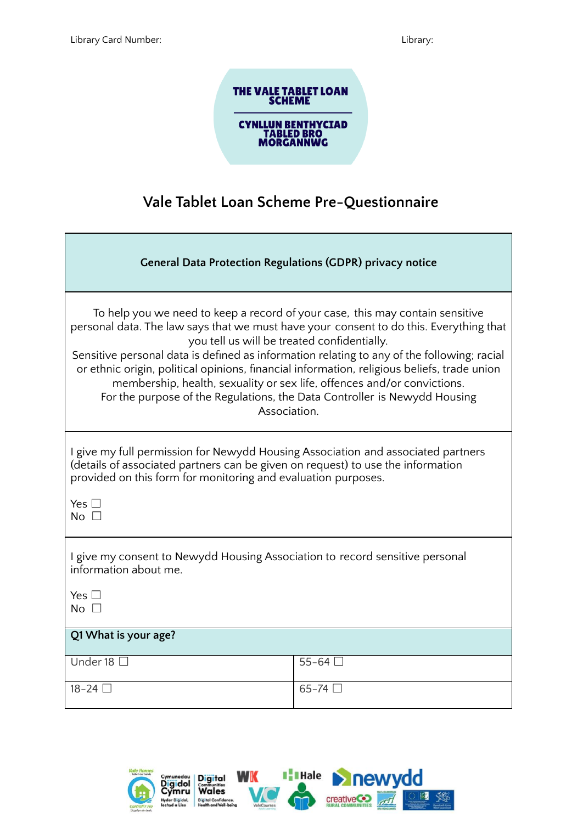# THE VALE TABLET LOAN<br>SCHEME **CYNLLUN BENTHYCIAD<br>TABLED BRO<br>MORGANNWG**

### **Vale Tablet Loan Scheme Pre-Questionnaire**

| <b>General Data Protection Regulations (GDPR) privacy notice</b>                                                                                                                                                                                                                                                                                                                                                                                                                                                                                                                            |         |  |  |
|---------------------------------------------------------------------------------------------------------------------------------------------------------------------------------------------------------------------------------------------------------------------------------------------------------------------------------------------------------------------------------------------------------------------------------------------------------------------------------------------------------------------------------------------------------------------------------------------|---------|--|--|
| To help you we need to keep a record of your case, this may contain sensitive<br>personal data. The law says that we must have your consent to do this. Everything that<br>you tell us will be treated confidentially.<br>Sensitive personal data is defined as information relating to any of the following; racial<br>or ethnic origin, political opinions, financial information, religious beliefs, trade union<br>membership, health, sexuality or sex life, offences and/or convictions.<br>For the purpose of the Regulations, the Data Controller is Newydd Housing<br>Association. |         |  |  |
| I give my full permission for Newydd Housing Association and associated partners<br>(details of associated partners can be given on request) to use the information<br>provided on this form for monitoring and evaluation purposes.<br>Yes $\square$<br>No $\square$                                                                                                                                                                                                                                                                                                                       |         |  |  |
| I give my consent to Newydd Housing Association to record sensitive personal<br>information about me.<br>Yes $\square$<br>No $\square$                                                                                                                                                                                                                                                                                                                                                                                                                                                      |         |  |  |
| Q1 What is your age?                                                                                                                                                                                                                                                                                                                                                                                                                                                                                                                                                                        |         |  |  |
| Under 18 $\Box$                                                                                                                                                                                                                                                                                                                                                                                                                                                                                                                                                                             | $55-64$ |  |  |
| 18-24 □                                                                                                                                                                                                                                                                                                                                                                                                                                                                                                                                                                                     | $65-74$ |  |  |

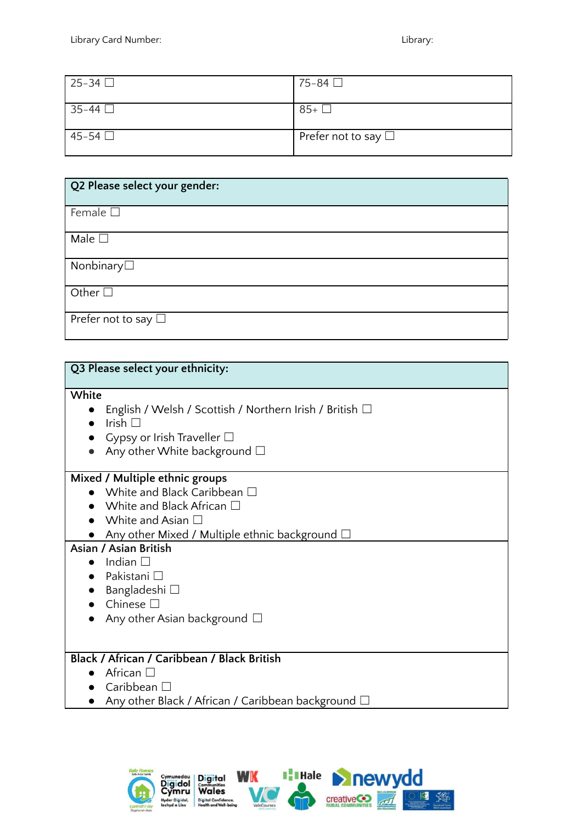| 25-34 □ | 75-84 □                     |
|---------|-----------------------------|
| 35-44 □ | $85+$                       |
| 45-54 □ | Prefer not to say $\square$ |

| Q2 Please select your gender: |
|-------------------------------|
| Female $\square$              |
| Male $\square$                |
| Nonbinary□                    |
| Other $\square$               |
| Prefer not to say $\Box$      |

| Q3 Please select your ethnicity:                             |
|--------------------------------------------------------------|
| White                                                        |
| English / Welsh / Scottish / Northern Irish / British $\Box$ |
| Irish $\Box$                                                 |
| Gypsy or Irish Traveller $\Box$                              |
| Any other White background $\square$                         |
| Mixed / Multiple ethnic groups                               |
| White and Black Caribbean □                                  |
| White and Black African $\Box$                               |
| White and Asian $\Box$                                       |
| Any other Mixed / Multiple ethnic background $\square$       |
| Asian / Asian British                                        |
| Indian $\square$                                             |
| Pakistani □                                                  |
| Bangladeshi □                                                |
| Chinese $\square$                                            |
| Any other Asian background $\Box$                            |
|                                                              |
| Black / African / Caribbean / Black British                  |
| African $\square$                                            |
| Caribbean $\Box$                                             |
| Any other Black / African / Caribbean background $\Box$      |

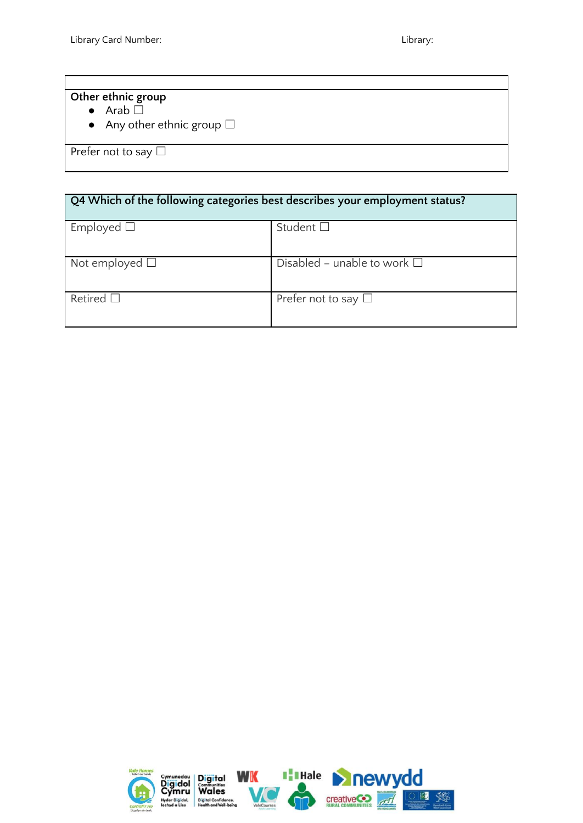#### **Other ethnic group**

- Arab □
- Any other ethnic group  $\Box$

Prefer not to say □

## **Q4 Which of the following categories best describes your employment status?**

| Employed $\square$     | Student $\square$                   |
|------------------------|-------------------------------------|
|                        |                                     |
| Not employed $\square$ | Disabled – unable to work $\square$ |
| Retired $\square$      | Prefer not to say $\Box$            |

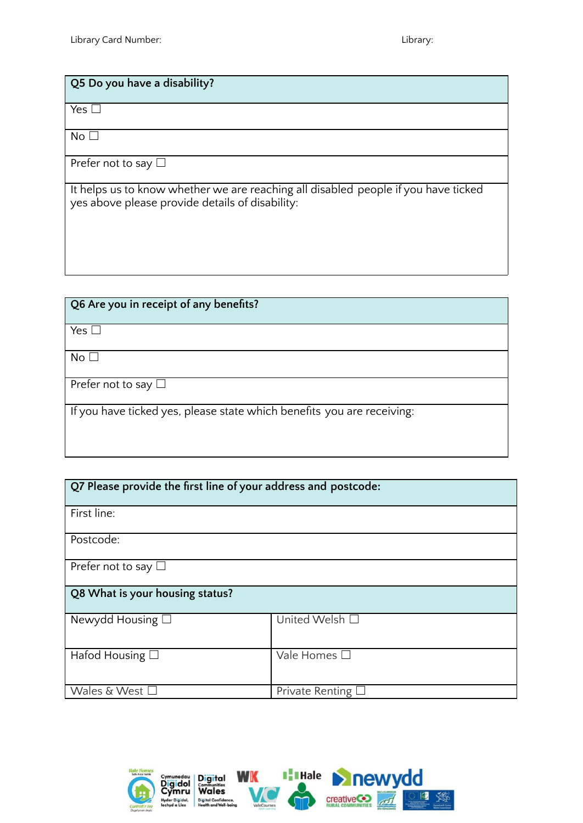#### **Q5 Do you have a disability?**

Yes □

 $No<sub>1</sub>$ 

Prefer not to say □

It helps us to know whether we are reaching all disabled people if you have ticked yes above please provide details of disability:

| Q6 Are you in receipt of any benefits?                                 |
|------------------------------------------------------------------------|
| Yes $\Box$                                                             |
| No <sub>1</sub>                                                        |
| Prefer not to say $\Box$                                               |
| If you have ticked yes, please state which benefits you are receiving: |

| Q7 Please provide the first line of your address and postcode: |                   |  |
|----------------------------------------------------------------|-------------------|--|
| First line:                                                    |                   |  |
| Postcode:                                                      |                   |  |
| Prefer not to say $\Box$                                       |                   |  |
| Q8 What is your housing status?                                |                   |  |
| Newydd Housing $\square$                                       | United Welsh □    |  |
| Hafod Housing $\Box$                                           | Vale Homes □      |  |
| Wales & West $\square$                                         | Private Renting I |  |

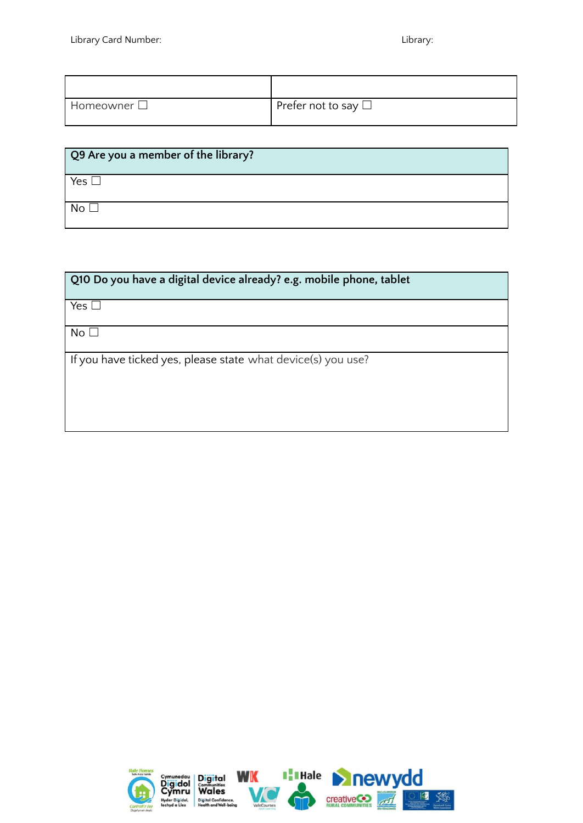| Homeowner $\Box$ | Prefer not to say $\Box$ |
|------------------|--------------------------|

| Q9 Are you a member of the library? |
|-------------------------------------|
| Yes [                               |
| No <sub>1</sub>                     |

| Q10 Do you have a digital device already? e.g. mobile phone, tablet |  |  |
|---------------------------------------------------------------------|--|--|
| Yes $\square$                                                       |  |  |
| No <sub>1</sub>                                                     |  |  |
| If you have ticked yes, please state what device(s) you use?        |  |  |
|                                                                     |  |  |
|                                                                     |  |  |

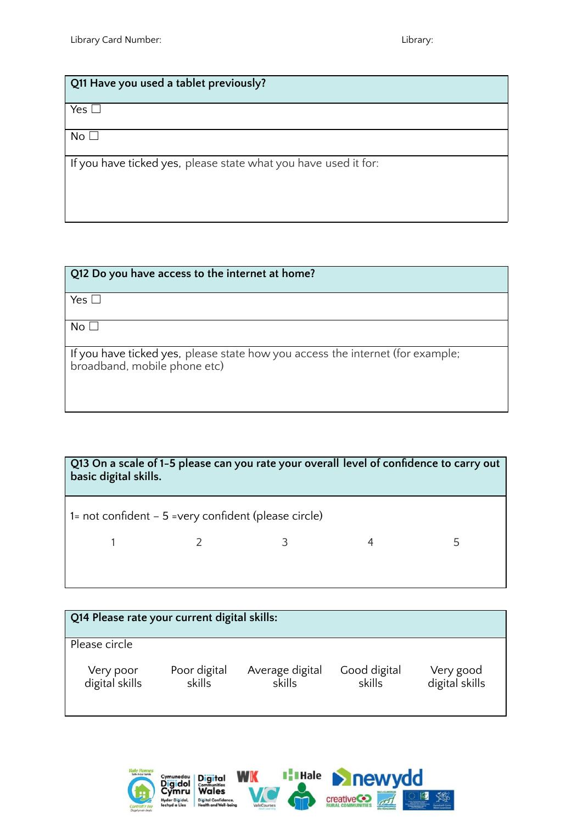#### **Q11 Have you used a tablet previously?**

 $Yes$ 

 $No<sub>1</sub>$ 

If you have ticked yes, please state what you have used it for:

| Q12 Do you have access to the internet at home?                                |
|--------------------------------------------------------------------------------|
|                                                                                |
| Yes $\square$                                                                  |
|                                                                                |
| No <sub>1</sub>                                                                |
|                                                                                |
| If you have ticked yes, please state how you access the internet (for example; |
| broadband, mobile phone etc)                                                   |
|                                                                                |
|                                                                                |
|                                                                                |

| Q13 On a scale of 1-5 please can you rate your overall level of confidence to carry out<br>basic digital skills. |  |  |  |   |
|------------------------------------------------------------------------------------------------------------------|--|--|--|---|
| 1= not confident $-5$ =very confident (please circle)                                                            |  |  |  |   |
|                                                                                                                  |  |  |  | 5 |
|                                                                                                                  |  |  |  |   |

| Q14 Please rate your current digital skills: |                        |                           |                        |                             |
|----------------------------------------------|------------------------|---------------------------|------------------------|-----------------------------|
| Please circle                                |                        |                           |                        |                             |
| Very poor<br>digital skills                  | Poor digital<br>skills | Average digital<br>skills | Good digital<br>skills | Very good<br>digital skills |